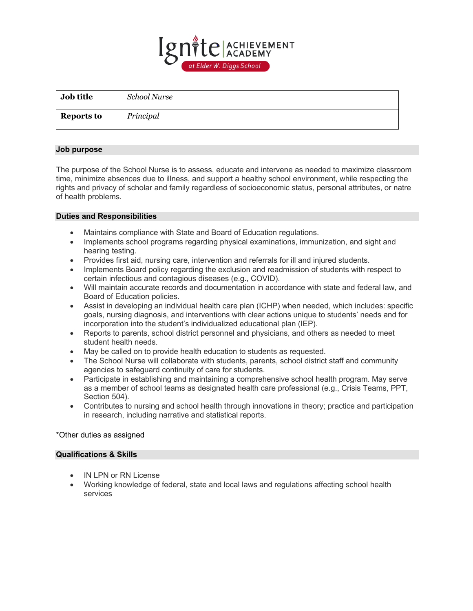

| Job title         | School Nurse |
|-------------------|--------------|
| <b>Reports to</b> | Principal    |

## **Job purpose**

The purpose of the School Nurse is to assess, educate and intervene as needed to maximize classroom time, minimize absences due to illness, and support a healthy school environment, while respecting the rights and privacy of scholar and family regardless of socioeconomic status, personal attributes, or natre of health problems.

## **Duties and Responsibilities**

- Maintains compliance with State and Board of Education regulations.
- Implements school programs regarding physical examinations, immunization, and sight and hearing testing.
- Provides first aid, nursing care, intervention and referrals for ill and injured students.
- Implements Board policy regarding the exclusion and readmission of students with respect to certain infectious and contagious diseases (e.g., COVID).
- Will maintain accurate records and documentation in accordance with state and federal law, and Board of Education policies.
- Assist in developing an individual health care plan (ICHP) when needed, which includes: specific goals, nursing diagnosis, and interventions with clear actions unique to students' needs and for incorporation into the student's individualized educational plan (IEP).
- Reports to parents, school district personnel and physicians, and others as needed to meet student health needs.
- May be called on to provide health education to students as requested.
- The School Nurse will collaborate with students, parents, school district staff and community agencies to safeguard continuity of care for students.
- Participate in establishing and maintaining a comprehensive school health program. May serve as a member of school teams as designated health care professional (e.g., Crisis Teams, PPT, Section 504).
- Contributes to nursing and school health through innovations in theory; practice and participation in research, including narrative and statistical reports.

## \*Other duties as assigned

## **Qualifications & Skills**

- IN LPN or RN License
- Working knowledge of federal, state and local laws and regulations affecting school health services